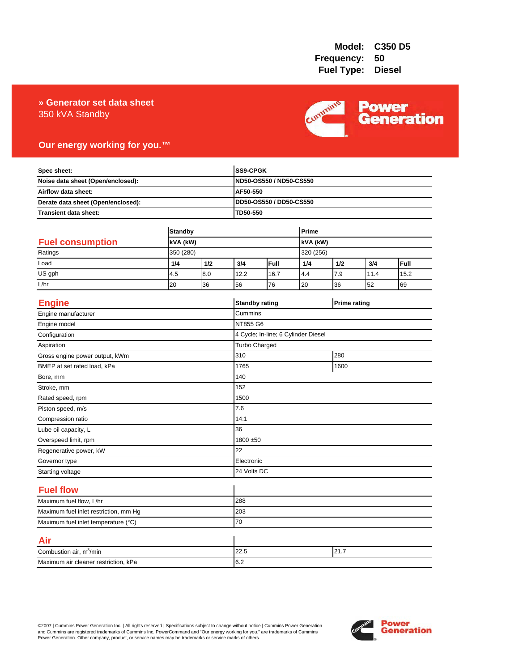### 350 kVA Standby **» Generator set data sheet**



## **Our energy working for you.™**

| Spec sheet:<br>Noise data sheet (Open/enclosed):<br>Airflow data sheet:<br>Derate data sheet (Open/enclosed): |                            |     |          | SS9-CPGK<br>ND50-OS550 / ND50-CS550 |       |                     |      |      |  |
|---------------------------------------------------------------------------------------------------------------|----------------------------|-----|----------|-------------------------------------|-------|---------------------|------|------|--|
|                                                                                                               |                            |     |          |                                     |       |                     |      |      |  |
|                                                                                                               |                            |     | AF50-550 |                                     |       |                     |      |      |  |
|                                                                                                               |                            |     |          | DD50-OS550 / DD50-CS550             |       |                     |      |      |  |
| Transient data sheet:                                                                                         |                            |     | TD50-550 |                                     |       |                     |      |      |  |
|                                                                                                               |                            |     |          |                                     | Prime |                     |      |      |  |
| <b>Fuel consumption</b>                                                                                       | <b>Standby</b><br>kVA (kW) |     |          |                                     |       |                     |      |      |  |
| Ratings                                                                                                       | 350 (280)                  |     |          | <b>KVA</b> (kW)<br>320 (256)        |       |                     |      |      |  |
| Load                                                                                                          | 1/4                        | 1/2 | 3/4      | Full                                | 1/4   | 1/2                 | 3/4  | Full |  |
| US gph                                                                                                        | 4.5                        | 8.0 | 12.2     | 16.7                                | 4.4   | 7.9                 | 11.4 | 15.2 |  |
| L/hr                                                                                                          | 20                         | 36  | 56       | 76                                  | 20    | 36                  | 52   | 69   |  |
|                                                                                                               |                            |     |          |                                     |       |                     |      |      |  |
| <b>Engine</b>                                                                                                 |                            |     |          | <b>Standby rating</b>               |       | <b>Prime rating</b> |      |      |  |
| Engine manufacturer                                                                                           |                            |     | Cummins  |                                     |       |                     |      |      |  |
| Engine model                                                                                                  |                            |     | NT855 G6 |                                     |       |                     |      |      |  |
| Configuration                                                                                                 |                            |     |          | 4 Cycle; In-line; 6 Cylinder Diesel |       |                     |      |      |  |
| Aspiration                                                                                                    |                            |     |          | Turbo Charged                       |       |                     |      |      |  |
| Gross engine power output, kWm                                                                                |                            |     | 310      | 280                                 |       |                     |      |      |  |
| BMEP at set rated load, kPa                                                                                   |                            |     | 1765     | 1600                                |       |                     |      |      |  |
| Bore, mm                                                                                                      |                            |     | 140      |                                     |       |                     |      |      |  |
| Stroke, mm                                                                                                    |                            |     | 152      |                                     |       |                     |      |      |  |
| Rated speed, rpm                                                                                              |                            |     | 1500     |                                     |       |                     |      |      |  |
| Piston speed, m/s                                                                                             |                            |     | 7.6      |                                     |       |                     |      |      |  |
| Compression ratio                                                                                             |                            |     | 14:1     |                                     |       |                     |      |      |  |
| Lube oil capacity, L                                                                                          |                            |     | 36       |                                     |       |                     |      |      |  |
| Overspeed limit, rpm                                                                                          |                            |     |          | 1800 ±50                            |       |                     |      |      |  |
| Regenerative power, kW                                                                                        |                            |     | 22       |                                     |       |                     |      |      |  |
| Governor type                                                                                                 |                            |     |          | Electronic                          |       |                     |      |      |  |
| Starting voltage                                                                                              |                            |     |          | 24 Volts DC                         |       |                     |      |      |  |
| <b>Fuel flow</b>                                                                                              |                            |     |          |                                     |       |                     |      |      |  |
| Maximum fuel flow, L/hr                                                                                       |                            |     | 288      |                                     |       |                     |      |      |  |
| Maximum fuel inlet restriction, mm Hg                                                                         |                            |     | 203      |                                     |       |                     |      |      |  |
| Maximum fuel inlet temperature (°C)                                                                           |                            |     | 70       |                                     |       |                     |      |      |  |
| Air                                                                                                           |                            |     |          |                                     |       |                     |      |      |  |
| Combustion air, m <sup>3</sup> /min                                                                           |                            |     | 22.5     | 21.7                                |       |                     |      |      |  |
| Maximum air cleaner restriction, kPa                                                                          |                            |     | 6.2      |                                     |       |                     |      |      |  |

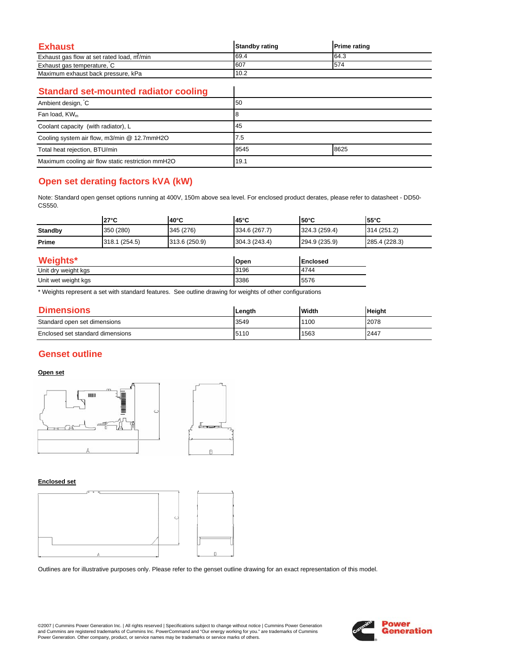| Exhaust                                   | <b>Standby rating</b> | <b>Prime rating</b> |
|-------------------------------------------|-----------------------|---------------------|
| Exhaust gas flow at set rated load, m/min | 69.4                  | 64.3                |
| Exhaust gas temperature, C                | 607                   | 574                 |
| Maximum exhaust back pressure, kPa        | 10.2                  |                     |

 $\overline{\phantom{a}}$ 

### **Standard set-mounted radiator cooling**

| Ambient design, C                                 | 50   |      |
|---------------------------------------------------|------|------|
| Fan load, KW <sub>m</sub>                         |      |      |
| Coolant capacity (with radiator), L               | 45   |      |
| Cooling system air flow, m3/min @ 12.7mmH2O       | 7.5  |      |
| Total heat rejection, BTU/min                     | 9545 | 8625 |
| Maximum cooling air flow static restriction mmH2O | 19.1 |      |

# **Open set derating factors kVA (kW)**

Note: Standard open genset options running at 400V, 150m above sea level. For enclosed product derates, please refer to datasheet - DD50- CS550.

|                | $27^{\circ}$ C | $140^{\circ}$ C | 145°C         | $150^{\circ}$ C | 155°C         |
|----------------|----------------|-----------------|---------------|-----------------|---------------|
| <b>Standby</b> | 350 (280)      | 345 (276)       | 334.6 (267.7) | 324.3(259.4)    | 314 (251.2)   |
| Prime          | 318.1 (254.5)  | 313.6 (250.9)   | 304.3 (243.4) | 294.9 (235.9)   | 285.4 (228.3) |

| Weights*            | Open | <b>Enclosed</b> |
|---------------------|------|-----------------|
| Unit dry weight kgs | 3196 | 4744            |
| Unit wet weight kgs | 3386 | 5576            |

\* Weights represent a set with standard features. See outline drawing for weights of other configurations

| <b>Dimensions</b>                | Lenath | <b>Width</b> | <b>Height</b> |
|----------------------------------|--------|--------------|---------------|
| Standard open set dimensions     | 3549   | 1100         | 2078          |
| Enclosed set standard dimensions | 5110   | 1563         | 2447          |

## **Genset outline**

#### **Open set**



#### **Enclosed set**



Outlines are for illustrative purposes only. Please refer to the genset outline drawing for an exact representation of this model.

©2007 | Cummins Power Generation Inc. | All rights reserved | Specifications subject to change without notice | Cummins Power Generation and Cummins are registered trademarks of Cummins Inc. PowerCommand and "Our energy working for you." are trademarks of Cummins<br>Power Generation. Other company, product, or service names may be trademarks or service marks o